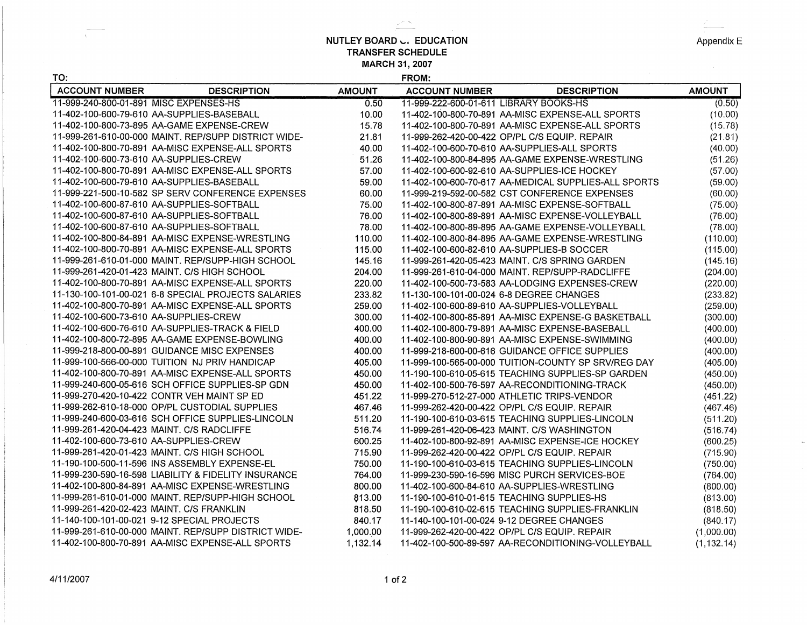**NUTLEY BOARD ... EDUCATION TRANSFER SCHEDULE MARCH 31, 2007** 

 $\geq$   $\sim$ 

| Appendix E |  |
|------------|--|

 $\sim$ 

| TO:                                       |                                                      |               | FROM:                                      |                                                      |               |
|-------------------------------------------|------------------------------------------------------|---------------|--------------------------------------------|------------------------------------------------------|---------------|
| <b>ACCOUNT NUMBER</b>                     | <b>DESCRIPTION</b>                                   | <b>AMOUNT</b> | <b>ACCOUNT NUMBER</b>                      | <b>DESCRIPTION</b>                                   | <b>AMOUNT</b> |
| 11-999-240-800-01-891 MISC EXPENSES-HS    |                                                      | 0.50          | 11-999-222-600-01-611 LIBRARY BOOKS-HS     |                                                      | (0.50)        |
|                                           | 11-402-100-600-79-610 AA-SUPPLIES-BASEBALL           | 10.00         |                                            | 11-402-100-800-70-891 AA-MISC EXPENSE-ALL SPORTS     | (10.00)       |
|                                           | 11-402-100-800-73-895 AA-GAME EXPENSE-CREW           | 15.78         |                                            | 11-402-100-800-70-891 AA-MISC EXPENSE-ALL SPORTS     | (15.78)       |
|                                           | 11-999-261-610-00-000 MAINT. REP/SUPP DISTRICT WIDE- | 21.81         |                                            | 11-999-262-420-00-422 OP/PL C/S EQUIP. REPAIR        | (21.81)       |
|                                           | 11-402-100-800-70-891 AA-MISC EXPENSE-ALL SPORTS     | 40.00         |                                            | 11-402-100-600-70-610 AA-SUPPLIES-ALL SPORTS         | (40.00)       |
| 11-402-100-600-73-610 AA-SUPPLIES-CREW    |                                                      | 51.26         |                                            | 11-402-100-800-84-895 AA-GAME EXPENSE-WRESTLING      | (51.26)       |
|                                           | 11-402-100-800-70-891 AA-MISC EXPENSE-ALL SPORTS     | 57.00         |                                            | 11-402-100-600-92-610 AA-SUPPLIES-ICE HOCKEY         | (57.00)       |
|                                           | 11-402-100-600-79-610 AA-SUPPLIES-BASEBALL           | 59.00         |                                            | 11-402-100-600-70-617 AA-MEDICAL SUPPLIES-ALL SPORTS | (59.00)       |
|                                           | 11-999-221-500-10-582 SP SERV CONFERENCE EXPENSES    | 60.00         |                                            | 11-999-219-592-00-582 CST CONFERENCE EXPENSES        | (60.00)       |
|                                           | 11-402-100-600-87-610 AA-SUPPLIES-SOFTBALL           | 75.00         |                                            | 11-402-100-800-87-891 AA-MISC EXPENSE-SOFTBALL       | (75.00)       |
|                                           | 11-402-100-600-87-610 AA-SUPPLIES-SOFTBALL           | 76.00         |                                            | 11-402-100-800-89-891 AA-MISC EXPENSE-VOLLEYBALL     | (76.00)       |
|                                           | 11-402-100-600-87-610 AA-SUPPLIES-SOFTBALL           | 78.00         |                                            | 11-402-100-800-89-895 AA-GAME EXPENSE-VOLLEYBALL     | (78.00)       |
|                                           | 11-402-100-800-84-891_AA-MISC EXPENSE-WRESTLING      | 110.00        |                                            |                                                      | (110.00)      |
|                                           | 11-402-100-800-70-891 AA-MISC EXPENSE-ALL SPORTS     | 115.00        |                                            | 11-402-100-600-82-610 AA-SUPPLIES-B SOCCER           | (115.00)      |
|                                           | 11-999-261-610-01-000 MAINT. REP/SUPP-HIGH SCHOOL    | 145.16        |                                            | 11-999-261-420-05-423 MAINT. C/S SPRING GARDEN       | (145.16)      |
|                                           | 11-999-261-420-01-423 MAINT. C/S HIGH SCHOOL         | 204.00        |                                            | 11-999-261-610-04-000 MAINT. REP/SUPP-RADCLIFFE      | (204.00)      |
|                                           | 11-402-100-800-70-891 AA-MISC EXPENSE-ALL SPORTS     | 220.00        |                                            | 11-402-100-500-73-583 AA-LODGING EXPENSES-CREW       | (220.00)      |
|                                           | 11-130-100-101-00-021 6-8 SPECIAL PROJECTS SALARIES  | 233.82        | 11-130-100-101-00-024 6-8 DEGREE CHANGES   |                                                      | (233.82)      |
|                                           | 11-402-100-800-70-891 AA-MISC EXPENSE-ALL SPORTS     | 259.00        |                                            | 11-402-100-600-89-610 AA-SUPPLIES-VOLLEYBALL         | (259.00)      |
| 11-402-100-600-73-610 AA-SUPPLIES-CREW    |                                                      | 300.00        |                                            | 11-402-100-800-85-891 AA-MISC EXPENSE-G BASKETBALL   | (300.00)      |
|                                           | 11-402-100-600-76-610 AA-SUPPLIES-TRACK & FIELD      | 400.00        |                                            | 11-402-100-800-79-891 AA-MISC EXPENSE-BASEBALL       | (400.00)      |
|                                           | 11-402-100-800-72-895 AA-GAME EXPENSE-BOWLING        | 400.00        |                                            | 11-402-100-800-90-891 AA-MISC EXPENSE-SWIMMING       | (400.00)      |
|                                           | 11-999-218-800-00-891 GUIDANCE MISC EXPENSES         | 400.00        |                                            | 11-999-218-600-00-616 GUIDANCE OFFICE SUPPLIES       | (400.00)      |
|                                           | 11-999-100-566-00-000 TUITION NJ PRIV HANDICAP       | 405.00        |                                            | 11-999-100-565-00-000 TUITION-COUNTY SP SRV/REG DAY  | (405.00)      |
|                                           | 11-402-100-800-70-891 AA-MISC EXPENSE-ALL SPORTS     | 450.00        |                                            | 11-190-100-610-05-615 TEACHING SUPPLIES-SP GARDEN    | (450.00)      |
|                                           | 11-999-240-600-05-616 SCH OFFICE SUPPLIES-SP GDN     | 450.00        |                                            | 11-402-100-500-76-597 AA-RECONDITIONING-TRACK        | (450.00)      |
|                                           | 11-999-270-420-10-422 CONTR VEH MAINT SP ED          | 451.22        |                                            | 11-999-270-512-27-000 ATHLETIC TRIPS-VENDOR          | (451.22)      |
|                                           | 11-999-262-610-18-000 OP/PL CUSTODIAL SUPPLIES       | 467.46        |                                            | 11-999-262-420-00-422 OP/PL C/S EQUIP, REPAIR        | (467.46)      |
|                                           | 11-999-240-600-03-616 SCH OFFICE SUPPLIES-LINCOLN    | 511.20        |                                            | 11-190-100-610-03-615 TEACHING SUPPLIES-LINCOLN      | (511.20)      |
|                                           | 11-999-261-420-04-423 MAINT, C/S RADCLIFFE           | 516.74        |                                            | 11-999-261-420-06-423 MAINT. C/S WASHINGTON          | (516.74)      |
| 11-402-100-600-73-610 AA-SUPPLIES-CREW    |                                                      | 600.25        |                                            | 11-402-100-800-92-891 AA-MISC EXPENSE-ICE HOCKEY     | (600.25)      |
|                                           | 11-999-261-420-01-423 MAINT, C/S HIGH SCHOOL         | 715.90        |                                            | 11-999-262-420-00-422 OP/PL C/S EQUIP, REPAIR        | (715.90)      |
|                                           | 11-190-100-500-11-596 INS ASSEMBLY EXPENSE-EL        | 750.00        |                                            | 11-190-100-610-03-615 TEACHING SUPPLIES-LINCOLN      | (750.00)      |
|                                           | 11-999-230-590-16-598 LIABILITY & FIDELITY INSURANCE | 764.00        |                                            | 11-999-230-590-16-596 MISC PURCH SERVICES-BOE        | (764.00)      |
|                                           | 11-402-100-800-84-891 AA-MISC EXPENSE-WRESTLING      | 800.00        |                                            | 11-402-100-600-84-610 AA-SUPPLIES-WRESTLING          | (800.00)      |
|                                           | 11-999-261-610-01-000 MAINT, REP/SUPP-HIGH SCHOOL    | 813.00        | 11-190-100-610-01-615 TEACHING SUPPLIES-HS |                                                      | (813.00)      |
| 11-999-261-420-02-423 MAINT. C/S FRANKLIN |                                                      | 818.50        |                                            | 11-190-100-610-02-615 TEACHING SUPPLIES-FRANKLIN     | (818.50)      |
|                                           | 11-140-100-101-00-021 9-12 SPECIAL PROJECTS          | 840.17        | 11-140-100-101-00-024 9-12 DEGREE CHANGES  |                                                      | (840.17)      |
|                                           | 11-999-261-610-00-000 MAINT. REP/SUPP DISTRICT WIDE- | 1,000.00      |                                            | 11-999-262-420-00-422 OP/PL C/S EQUIP. REPAIR        | (1,000.00)    |
|                                           | 11-402-100-800-70-891 AA-MISC EXPENSE-ALL SPORTS     | 1,132.14      |                                            | 11-402-100-500-89-597 AA-RECONDITIONING-VOLLEYBALL   | (1, 132.14)   |

 $\chi$  .